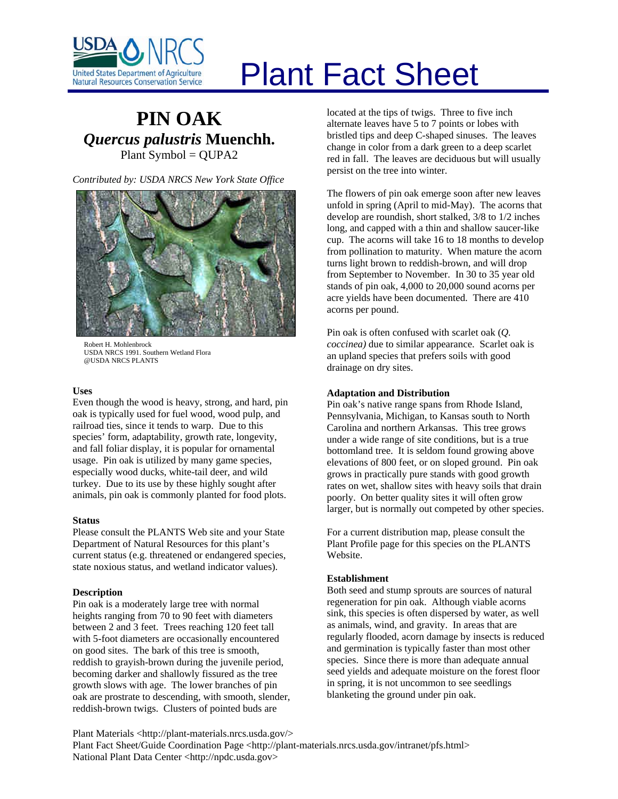

# Plant Fact Sheet

# **PIN OAK** *Quercus palustris* **Muenchh.** Plant Symbol = QUPA2

*Contributed by: USDA NRCS New York State Office* 



Robert H. Mohlenbrock USDA NRCS 1991. Southern Wetland Flora @USDA NRCS PLANTS

# **Uses**

Even though the wood is heavy, strong, and hard, pin oak is typically used for fuel wood, wood pulp, and railroad ties, since it tends to warp. Due to this species' form, adaptability, growth rate, longevity, and fall foliar display, it is popular for ornamental usage. Pin oak is utilized by many game species, especially wood ducks, white-tail deer, and wild turkey. Due to its use by these highly sought after animals, pin oak is commonly planted for food plots.

# **Status**

Please consult the PLANTS Web site and your State Department of Natural Resources for this plant's current status (e.g. threatened or endangered species, state noxious status, and wetland indicator values).

# **Description**

Pin oak is a moderately large tree with normal heights ranging from 70 to 90 feet with diameters between 2 and 3 feet. Trees reaching 120 feet tall with 5-foot diameters are occasionally encountered on good sites. The bark of this tree is smooth, reddish to grayish-brown during the juvenile period, becoming darker and shallowly fissured as the tree growth slows with age. The lower branches of pin oak are prostrate to descending, with smooth, slender, reddish-brown twigs. Clusters of pointed buds are

located at the tips of twigs. Three to five inch alternate leaves have 5 to 7 points or lobes with bristled tips and deep C-shaped sinuses. The leaves change in color from a dark green to a deep scarlet red in fall. The leaves are deciduous but will usually persist on the tree into winter.

The flowers of pin oak emerge soon after new leaves unfold in spring (April to mid-May). The acorns that develop are roundish, short stalked, 3/8 to 1/2 inches long, and capped with a thin and shallow saucer-like cup. The acorns will take 16 to 18 months to develop from pollination to maturity. When mature the acorn turns light brown to reddish-brown, and will drop from September to November. In 30 to 35 year old stands of pin oak, 4,000 to 20,000 sound acorns per acre yields have been documented. There are 410 acorns per pound.

Pin oak is often confused with scarlet oak (*Q. coccinea)* due to similar appearance. Scarlet oak is an upland species that prefers soils with good drainage on dry sites.

# **Adaptation and Distribution**

Pin oak's native range spans from Rhode Island, Pennsylvania, Michigan, to Kansas south to North Carolina and northern Arkansas. This tree grows under a wide range of site conditions, but is a true bottomland tree. It is seldom found growing above elevations of 800 feet, or on sloped ground. Pin oak grows in practically pure stands with good growth rates on wet, shallow sites with heavy soils that drain poorly. On better quality sites it will often grow larger, but is normally out competed by other species.

For a current distribution map, please consult the Plant Profile page for this species on the PLANTS Website.

# **Establishment**

Both seed and stump sprouts are sources of natural regeneration for pin oak. Although viable acorns sink, this species is often dispersed by water, as well as animals, wind, and gravity. In areas that are regularly flooded, acorn damage by insects is reduced and germination is typically faster than most other species. Since there is more than adequate annual seed yields and adequate moisture on the forest floor in spring, it is not uncommon to see seedlings blanketing the ground under pin oak.

Plant Materials <http://plant-materials.nrcs.usda.gov/> Plant Fact Sheet/Guide Coordination Page <http://plant-materials.nrcs.usda.gov/intranet/pfs.html> National Plant Data Center <http://npdc.usda.gov>